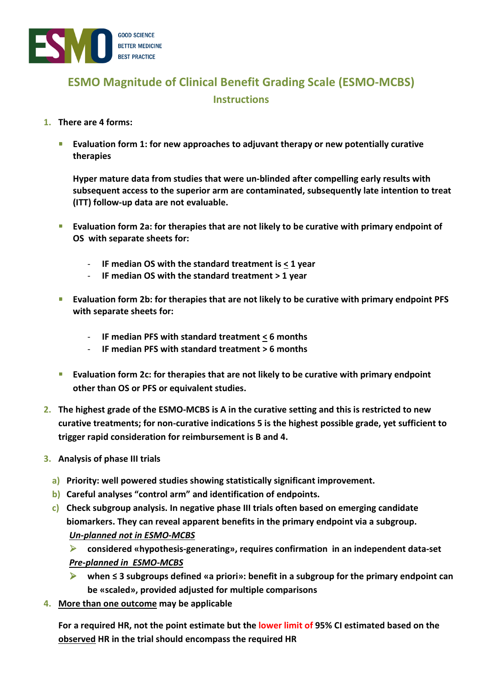

## **ESMO Magnitude of Clinical Benefit Grading Scale (ESMO-MCBS) Instructions**

## **1. There are 4 forms:**

**Evaluation form 1: for new approaches to adjuvant therapy or new potentially curative therapies** 

**Hyper mature data from studies that were un-blinded after compelling early results with subsequent access to the superior arm are contaminated, subsequently late intention to treat (ITT) follow-up data are not evaluable.**

- **Evaluation form 2a: for therapies that are not likely to be curative with primary endpoint of OS with separate sheets for:** 
	- **IF median OS with the standard treatment is < 1 year**
	- **IF median OS with the standard treatment > 1 year**
- **Evaluation form 2b: for therapies that are not likely to be curative with primary endpoint PFS with separate sheets for:** 
	- **IF median PFS with standard treatment < 6 months**
	- **IF median PFS with standard treatment > 6 months**
- **Evaluation form 2c: for therapies that are not likely to be curative with primary endpoint other than OS or PFS or equivalent studies.**
- **2. The highest grade of the ESMO-MCBS is A in the curative setting and this is restricted to new curative treatments; for non-curative indications 5 is the highest possible grade, yet sufficient to trigger rapid consideration for reimbursement is B and 4.**
- **3. Analysis of phase III trials** 
	- **a) Priority: well powered studies showing statistically significant improvement.**
	- **b) Careful analyses "control arm" and identification of endpoints.**
	- **c) Check subgroup analysis. In negative phase III trials often based on emerging candidate biomarkers. They can reveal apparent benefits in the primary endpoint via a subgroup.**  *Un-planned not in ESMO-MCBS* 
		- $\blacktriangleright$  **considered «hypothesis-generating», requires confirmation in an independent data-set**  *Pre-planned in ESMO-MCBS*
		- $\blacktriangleright$  **when ≤ 3 subgroups defined «a priori»: benefit in a subgroup for the primary endpoint can be «scaled», provided adjusted for multiple comparisons**
- **4. More than one outcome may be applicable**

**For a required HR, not the point estimate but the lower limit of 95% CI estimated based on the observed HR in the trial should encompass the required HR**